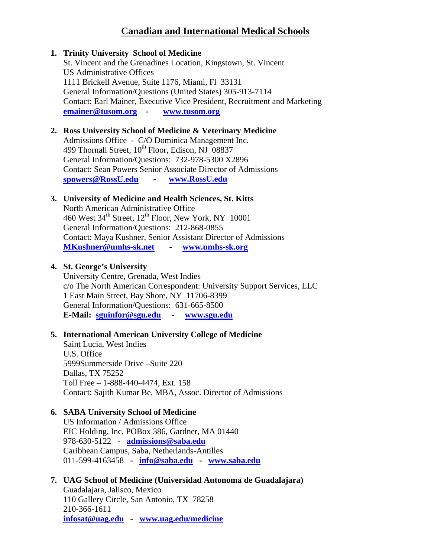# **Canadian and International Medical Schools**

### **1. Trinity University School of Medicine**

St. Vincent and the Grenadines Location, Kingstown, St. Vincent US Administrative Offices 1111 Brickell Avenue, Suite 1176, Miami, Fl 33131 General Information/Questions (United States) 305-913-7114 Contact: Earl Mainer, Executive Vice President, Recruitment and Marketing **[emainer@tusom.org](mailto:emainer@tusom.org) - [www.tusom.org](http://www.tusom.org/)**

### **2. Ross University School of Medicine & Veterinary Medicine**

Admissions Office - C/O Dominica Management Inc. 499 Thornall Street,  $10^{th}$  Floor, Edison, NJ 08837 General Information/Questions: 732-978-5300 X2896 Contact: Sean Powers Senior Associate Director of Admissions **[spowers@RossU.edu](mailto:spowers@RossU.edu) - [www.RossU.edu](http://www.rossu.edu/)**

### **3. University of Medicine and Health Sciences, St. Kitts**

North American Administrative Office 460 West  $34<sup>th</sup>$  Street,  $12<sup>th</sup>$  Floor, New York, NY 10001 General Information/Questions: 212-868-0855 Contact: Maya Kushner, Senior Assistant Director of Admissions **[MKushner@umhs-sk.net](mailto:MKushner@umhs-sk.net) - [www.umhs-sk.org](http://www.umhs-sk.org/)**

### **4. St. George's University**

University Centre, Grenada, West Indies c/o The North American Correspondent: University Support Services, LLC 1 East Main Street, Bay Shore, NY 11706-8399 General Information/Questions: 631-665-8500 **E-Mail: [sguinfor@sgu.edu](mailto:sguinfor@sgu.edu) - [www.sgu.edu](http://www.sgu.edu/)**

## **5. International American University College of Medicine**

Saint Lucia, West Indies U.S. Office 5999Summerside Drive –Suite 220 Dallas, TX 75252 Toll Free – 1-888-440-4474, Ext. 158 Contact: Sajith Kumar Be, MBA, Assoc. Director of Admissions

## **6. SABA University School of Medicine**

US Information / Admissions Office EIC Holding, Inc, POBox 386, Gardner, MA 01440 978-630-5122 - **[admissions@saba.edu](mailto:admissions@saba.edu)** Caribbean Campus, Saba, Netherlands-Antilles 011-599-4163458 **- [info@saba.edu](mailto:info@saba.edu) - [www.saba.edu](http://www.saba.edu/)**

## **7. UAG School of Medicine (Universidad Autonoma de Guadalajara)**

Guadalajara, Jalisco, Mexico 110 Gallery Circle, San Antonio, TX 78258 210-366-1611 **[infosat@uag.edu](mailto:infosat@uag.edu) - [www.uag.edu/medicine](http://www.uag.edu/medicine)**